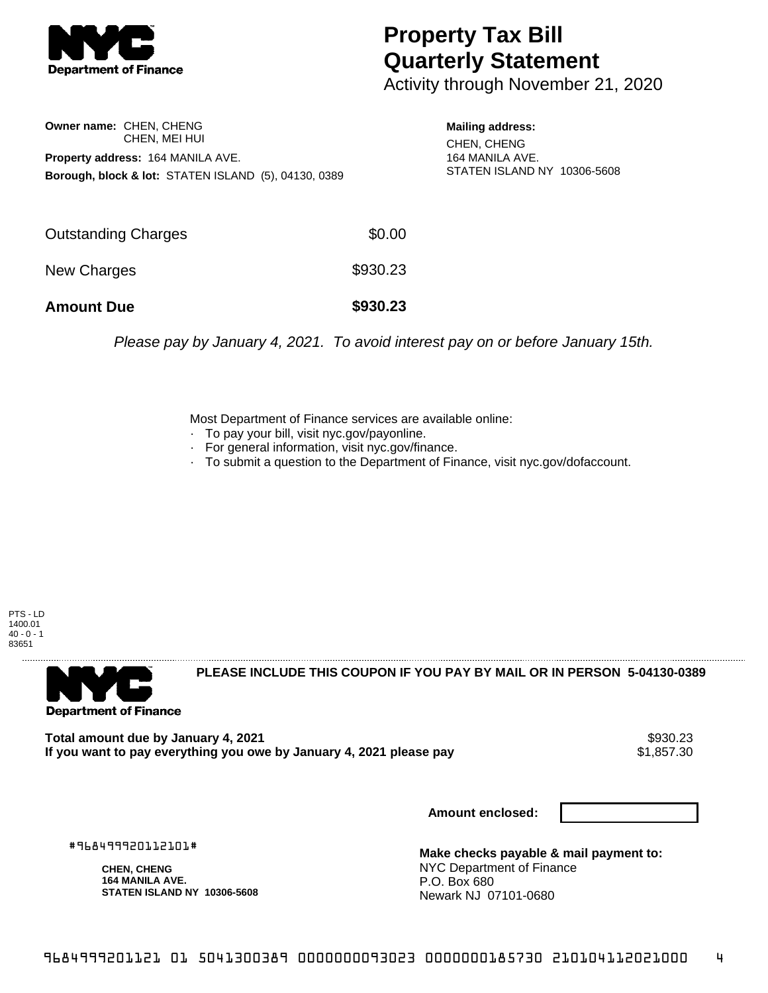

## **Property Tax Bill Quarterly Statement**

Activity through November 21, 2020

**Owner name:** CHEN, CHENG CHEN, MEI HUI **Property address:** 164 MANILA AVE. **Borough, block & lot:** STATEN ISLAND (5), 04130, 0389

**Mailing address:** CHEN, CHENG 164 MANILA AVE. STATEN ISLAND NY 10306-5608

| <b>Amount Due</b>   | \$930.23 |
|---------------------|----------|
| New Charges         | \$930.23 |
| Outstanding Charges | \$0.00   |

Please pay by January 4, 2021. To avoid interest pay on or before January 15th.

Most Department of Finance services are available online:

- · To pay your bill, visit nyc.gov/payonline.
- For general information, visit nyc.gov/finance.
- · To submit a question to the Department of Finance, visit nyc.gov/dofaccount.

PTS - LD 1400.01  $40 - 0 - 1$ 83651



**PLEASE INCLUDE THIS COUPON IF YOU PAY BY MAIL OR IN PERSON 5-04130-0389** 

**Total amount due by January 4, 2021**<br>If you want to pay everything you owe by January 4, 2021 please pay **show that the summan way of the s**1,857.30 If you want to pay everything you owe by January 4, 2021 please pay

**Amount enclosed:**

#968499920112101#

**CHEN, CHENG 164 MANILA AVE. STATEN ISLAND NY 10306-5608**

**Make checks payable & mail payment to:** NYC Department of Finance P.O. Box 680 Newark NJ 07101-0680